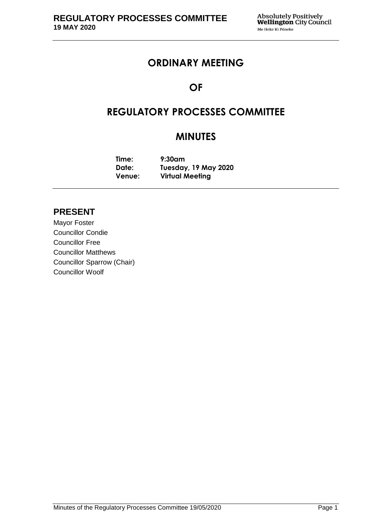## **ORDINARY MEETING**

# **OF**

# **REGULATORY PROCESSES COMMITTEE**

# **MINUTES**

**Time: 9:30am Date: Tuesday, 19 May 2020 Venue: Virtual Meeting**

## **PRESENT**

Mayor Foster Councillor Condie Councillor Free Councillor Matthews Councillor Sparrow (Chair) Councillor Woolf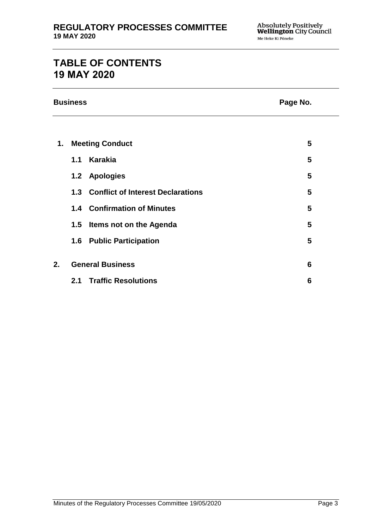# **TABLE OF CONTENTS 19 MAY 2020**

| <b>Business</b> | Page No. |
|-----------------|----------|
|                 |          |

| Page No. |  |  |
|----------|--|--|
|----------|--|--|

| 1. | <b>Meeting Conduct</b>  |                                       | 5 |
|----|-------------------------|---------------------------------------|---|
|    | 1.1                     | Karakia                               | 5 |
|    |                         | 1.2 Apologies                         | 5 |
|    |                         | 1.3 Conflict of Interest Declarations | 5 |
|    |                         | <b>1.4 Confirmation of Minutes</b>    | 5 |
|    |                         | 1.5 Items not on the Agenda           | 5 |
|    | 1.6                     | <b>Public Participation</b>           | 5 |
|    |                         |                                       |   |
| 2. | <b>General Business</b> |                                       | 6 |
|    | 2.1                     | <b>Traffic Resolutions</b>            | 6 |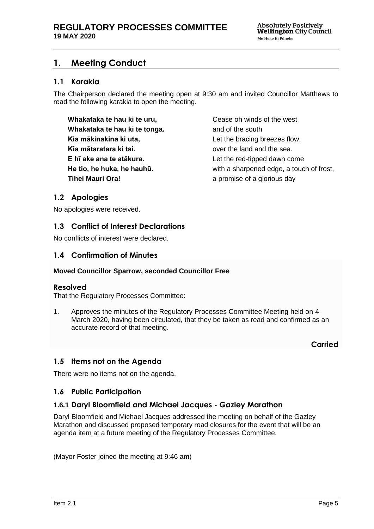## <span id="page-4-0"></span>**1. Meeting Conduct**

### **1.1 Karakia**

The Chairperson declared the meeting open at 9:30 am and invited Councillor Matthews to read the following karakia to open the meeting.

**Whakataka te hau ki te uru, Whakataka te hau ki te tonga. Kia mākinakina ki uta, Kia mātaratara ki tai. E hī ake ana te atākura. He tio, he huka, he hauhū. Tihei Mauri Ora!**

Cease oh winds of the west and of the south Let the bracing breezes flow, over the land and the sea. Let the red-tipped dawn come with a sharpened edge, a touch of frost, a promise of a glorious day

## <span id="page-4-1"></span>**1.2 Apologies**

No apologies were received.

## <span id="page-4-2"></span>**1.3 Conflict of Interest Declarations**

No conflicts of interest were declared.

### <span id="page-4-3"></span>**1.4 Confirmation of Minutes**

#### **Moved Councillor Sparrow, seconded Councillor Free**

#### **Resolved**

That the Regulatory Processes Committee:

1. Approves the minutes of the Regulatory Processes Committee Meeting held on 4 March 2020, having been circulated, that they be taken as read and confirmed as an accurate record of that meeting.

**Carried**

### <span id="page-4-4"></span>**1.5 Items not on the Agenda**

There were no items not on the agenda.

### **1.6 Public Participation**

### **1.6.1 Daryl Bloomfield and Michael Jacques - Gazley Marathon**

Daryl Bloomfield and Michael Jacques addressed the meeting on behalf of the Gazley Marathon and discussed proposed temporary road closures for the event that will be an agenda item at a future meeting of the Regulatory Processes Committee.

(Mayor Foster joined the meeting at 9:46 am)